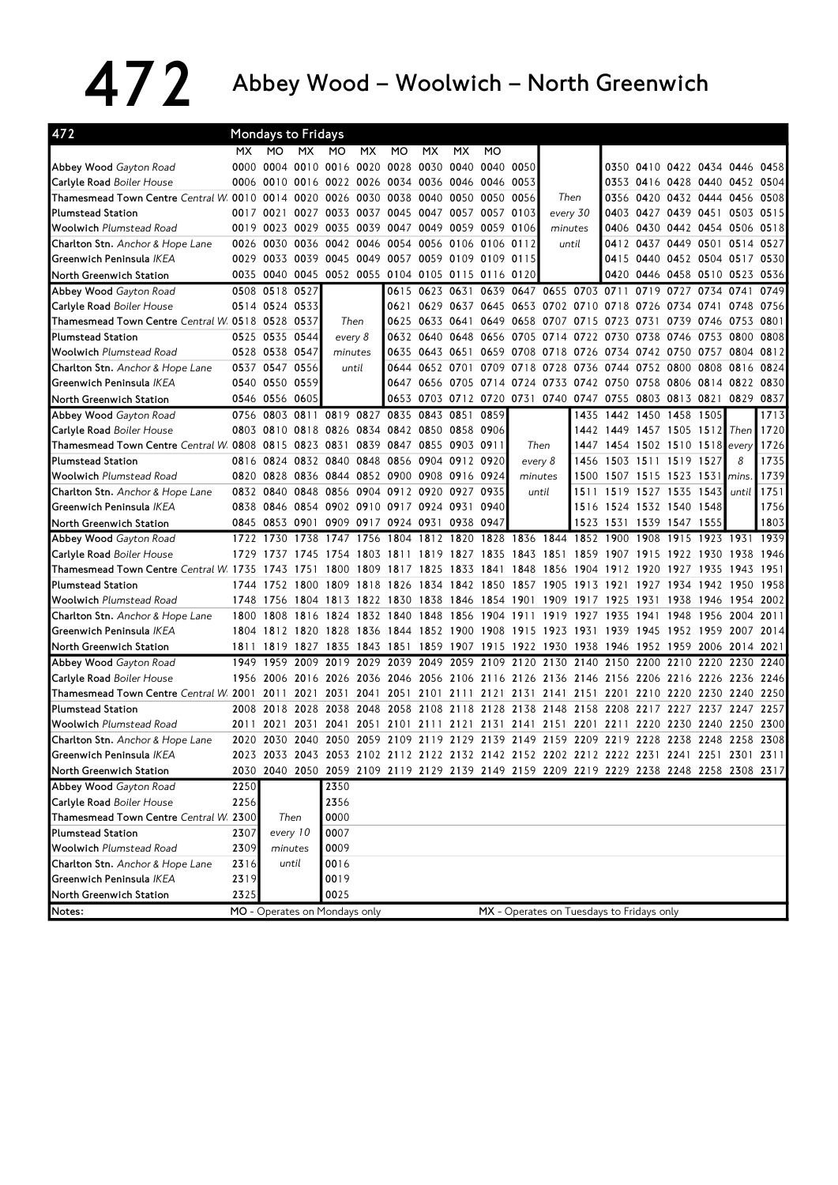## 472 Abbey Wood – Woolwich – North Greenwich

| 472                                                                                |      | <b>Mondays to Fridays</b> |           |                               |           |                                                                                           |      |                     |    |                |               |                                                             |                          |      |                               |           |      |
|------------------------------------------------------------------------------------|------|---------------------------|-----------|-------------------------------|-----------|-------------------------------------------------------------------------------------------|------|---------------------|----|----------------|---------------|-------------------------------------------------------------|--------------------------|------|-------------------------------|-----------|------|
|                                                                                    | MX.  | MO                        | <b>MX</b> | <b>MO</b>                     | MX.       | МO                                                                                        | МX   | МX                  | MO |                |               |                                                             |                          |      |                               |           |      |
| Abbey Wood Gayton Road                                                             |      | 0000 0004                 |           |                               |           | 0010 0016 0020 0028 0030 0040 0040                                                        |      |                     |    | 0050           |               |                                                             |                          |      | 0350 0410 0422 0434 0446 0458 |           |      |
| <b>Carlyle Road Boiler House</b>                                                   |      | 0006 0010                 |           |                               |           | 0016 0022 0026 0034 0036 0046 0046                                                        |      |                     |    | 0053           |               |                                                             |                          |      | 0353 0416 0428 0440 0452 0504 |           |      |
| Thamesmead Town Centre Central W 0010 0014 0020 0026 0030 0038 0040 0050 0050 0056 |      |                           |           |                               |           |                                                                                           |      |                     |    |                | Then          |                                                             | 0356                     |      | 0420 0432 0444 0456 0508      |           |      |
| <b>Plumstead Station</b>                                                           |      | 0017 0021                 |           | 0027 0033 0037 0045           |           |                                                                                           |      | 0047 0057 0057 0103 |    |                | every 30      |                                                             | 0403                     |      | 0427 0439 0451 0503 0515      |           |      |
| <b>Woolwich Plumstead Road</b>                                                     |      |                           |           |                               |           | 0019 0023 0029 0035 0039 0047 0049 0059 0059                                              |      |                     |    | 0106           | minutes       |                                                             | 0406                     |      | 0430 0442 0454 0506 0518      |           |      |
| <b>Charlton Stn.</b> Anchor & Hope Lane                                            |      | 0026 0030                 |           |                               |           | 0036 0042 0046 0054 0056 0106 0106 0112                                                   |      |                     |    |                | until         |                                                             |                          |      | 0412 0437 0449 0501 0514 0527 |           |      |
| Greenwich Peninsula IKEA                                                           |      | 0029 0033                 |           |                               |           | 0039 0045 0049 0057 0059 0109 0109                                                        |      |                     |    | 0115           |               |                                                             | 0415                     |      | 0440 0452 0504 0517 0530      |           |      |
| North Greenwich Station                                                            |      | 0035 0040                 |           |                               |           | 0045 0052 0055 0104 0105 0115 0116                                                        |      |                     |    | 0120           |               |                                                             | 0420                     |      | 0446 0458 0510 0523 0536      |           |      |
| Abbey Wood Gayton Road                                                             |      | 0508 0518 0527            |           |                               |           |                                                                                           |      |                     |    |                |               | 0615 0623 0631 0639 0647 0655 0703 0711 0719 0727 0734 0741 |                          |      |                               |           | 0749 |
| Carlyle Road Boiler House                                                          |      | 0514 0524 0533            |           |                               |           | 0621                                                                                      | 0629 | 0637 0645           |    |                |               | 0653 0702 0710 0718 0726 0734 0741 0748 0756                |                          |      |                               |           |      |
| Thamesmead Town Centre Central W 0518 0528                                         |      |                           | 0537      | Then                          |           | 0625                                                                                      |      | 0633 0641 0649      |    |                |               | 0658 0707 0715 0723 0731                                    |                          |      | 0739 0746                     | 0753      | 0801 |
| <b>Plumstead Station</b>                                                           |      | 0525 0535 0544            |           | every 8                       |           |                                                                                           |      | 0632 0640 0648 0656 |    |                |               | 0705 0714 0722 0730 0738 0746 0753 0800                     |                          |      |                               |           | 0808 |
| <b>Woolwich Plumstead Road</b>                                                     |      | 0528 0538 0547            |           | minutes                       |           | 0635                                                                                      |      |                     |    |                |               | 0643 0651 0659 0708 0718 0726 0734 0742 0750 0757 0804 0812 |                          |      |                               |           |      |
| Charlton Stn. Anchor & Hope Lane                                                   |      | 0537 0547 0556            |           | until                         |           |                                                                                           |      |                     |    |                |               | 0644 0652 0701 0709 0718 0728 0736 0744 0752 0800 0808 0816 |                          |      |                               |           | 0824 |
| Greenwich Peninsula IKEA                                                           |      | 0540 0550                 | 0559      |                               |           |                                                                                           |      | 0647 0656 0705 0714 |    |                |               | 0724 0733 0742 0750 0758 0806 0814                          |                          |      |                               | 0822 0830 |      |
| North Greenwich Station                                                            |      | 0546 0556 0605            |           |                               |           |                                                                                           |      |                     |    |                |               | 0653 0703 0712 0720 0731 0740 0747 0755                     |                          |      | 0803 0813 0821                | 0829      | 0837 |
| Abbey Wood Gayton Road                                                             |      | 0756 0803                 |           |                               |           | 0811 0819 0827 0835 0843 0851 0859                                                        |      |                     |    |                |               | 1435                                                        |                          |      | 1442 1450 1458 1505           |           | 1713 |
| Carlyle Road Boiler House                                                          |      |                           |           |                               |           | 0803 0810 0818 0826 0834 0842 0850 0858 0906                                              |      |                     |    |                |               |                                                             | 1442 1449 1457 1505 1512 |      |                               | Then      | 1720 |
| Thamesmead Town Centre Central W 0808 0815                                         |      |                           |           | 0823 0831                     |           | 0839 0847 0855 0903 0911                                                                  |      |                     |    | Then           |               | 1447                                                        |                          |      | 1454 1502 1510 1518           | every     | 1726 |
| <b>Plumstead Station</b>                                                           |      | 0816 0824                 |           |                               |           | 0832 0840 0848 0856 0904 0912 0920                                                        |      |                     |    | every 8        |               | 1456                                                        | 1503 1511 1519 1527      |      |                               | 8         | 1735 |
| <b>Woolwich</b> Plumstead Road                                                     |      | 0820 0828                 |           |                               |           | 0836 0844 0852 0900 0908 0916 0924                                                        |      |                     |    | minutes        |               | 1500                                                        | 1507 1515 1523 1531      |      |                               | mins.     | 1739 |
| Charlton Stn. Anchor & Hope Lane                                                   |      | 0832 0840                 |           |                               |           | 0848 0856 0904 0912 0920                                                                  |      | 0927 0935           |    |                | until<br>1511 |                                                             |                          |      | 1519 1527 1535 1543           | until     | 1751 |
| Greenwich Peninsula IKEA                                                           |      | 0838 0846                 |           |                               |           | 0854 0902 0910 0917 0924 0931 0940                                                        |      |                     |    |                |               |                                                             | 1516 1524 1532 1540 1548 |      |                               |           | 1756 |
| North Greenwich Station                                                            |      | 0845 0853 0901            |           |                               |           | 0909 0917 0924 0931 0938 0947                                                             |      |                     |    |                |               |                                                             | 1523 1531 1539 1547 1555 |      |                               |           | 1803 |
| Abbey Wood Gayton Road                                                             |      | 1722 1730                 | 1738      | 1747 1756                     |           | 1804 1812 1820 1828 1836 1844 1852 1900 1908                                              |      |                     |    |                |               |                                                             |                          |      | 1915 1923 1931 1939           |           |      |
| <b>Carlyle Road Boiler House</b>                                                   | 1729 | 1737                      | 1745      |                               |           | 1754 1803 1811 1819 1827 1835                                                             |      |                     |    |                |               | 1843 1851 1859 1907 1915 1922 1930                          |                          |      |                               | 1938      | 1946 |
| Thamesmead Town Centre Central W 1735                                              |      | 1743                      | 1751      |                               | 1800 1809 | 1817 1825                                                                                 |      | 1833 1841           |    | 1848 1856 1904 |               |                                                             | 1912 1920                |      | 1927 1935                     | 1943      | 1951 |
| <b>Plumstead Station</b>                                                           | 1744 | 1752                      | 1800      | 1809 1818                     |           | 1826 1834 1842 1850                                                                       |      |                     |    | 1857 1905 1913 |               |                                                             | 1921                     | 1927 | 1934 1942                     | 1950      | 1958 |
| <b>Woolwich Plumstead Road</b>                                                     | 1748 | 1756                      | 1804      |                               |           | 1813 1822 1830 1838 1846 1854 1901                                                        |      |                     |    |                |               | 1909 1917 1925                                              |                          | 1931 | 1938 1946                     | 1954      | 2002 |
| <b>Charlton Stn.</b> Anchor & Hope Lane                                            | 1800 | 1808                      |           |                               |           | 1816 1824 1832 1840 1848 1856 1904 1911                                                   |      |                     |    |                |               | 1919 1927                                                   | 1935                     | 1941 | 1948 1956                     | 2004 2011 |      |
| Greenwich Peninsula IKEA                                                           |      |                           |           |                               |           | 1804 1812 1820 1828 1836 1844 1852 1900 1908 1915 1923 1931 1939 1945 1952 1959 2007 2014 |      |                     |    |                |               |                                                             |                          |      |                               |           |      |
| North Greenwich Station                                                            | 1811 | 1819                      |           | 1827 1835 1843 1851           |           |                                                                                           |      | 1859 1907 1915      |    |                |               | 1922 1930 1938 1946 1952 1959 2006 2014 2021                |                          |      |                               |           |      |
| Abbey Wood Gayton Road                                                             | 1949 | 1959                      |           |                               |           | 2009 2019 2029 2039 2049 2059 2109 2120 2130 2140 2150 2200 2210 2220 2230                |      |                     |    |                |               |                                                             |                          |      |                               |           | 2240 |
| Carlyle Road Boiler House                                                          |      | 1956 2006                 |           | 2016 2026 2036                |           | 2046 2056 2106 2116                                                                       |      |                     |    |                |               | 2126 2136 2146 2156                                         |                          |      | 2206 2216 2226                | 2236 2246 |      |
| Thamesmead Town Centre Central W. 2001 2011                                        |      |                           | 2021      | 2031                          |           | 2041 2051 2101 2111 2121 2131 2141 2151 2201 2210                                         |      |                     |    |                |               |                                                             |                          |      | 2220 2230 2240 2250           |           |      |
| <b>Plumstead Station</b>                                                           |      | 2008 2018                 |           | 2028 2038 2048                |           | 2058 2108 2118 2128 2138 2148 2158                                                        |      |                     |    |                |               |                                                             | 2208 2217                |      | 2227 2237 2247 2257           |           |      |
| <b>Woolwich Plumstead Road</b>                                                     | 2011 | 2021                      | 2031      | 2041                          |           | 2051 2101 2111 2121 2131 2141 2151 2201 2211 2220 2230 2240 2250                          |      |                     |    |                |               |                                                             |                          |      |                               |           | 2300 |
| Charlton Stn. Anchor & Hope Lane                                                   |      |                           |           |                               |           | 2020 2030 2040 2050 2059 2109 2119 2129 2139 2149 2159 2209 2219 2228 2238 2248 2258 2308 |      |                     |    |                |               |                                                             |                          |      |                               |           |      |
| Greenwich Peninsula IKEA                                                           |      |                           |           |                               |           | 2023 2033 2043 2053 2102 2112 2122 2132 2142 2152 2202 2212 2222 2231 2241 2251 2301 2311 |      |                     |    |                |               |                                                             |                          |      |                               |           |      |
| North Greenwich Station                                                            |      |                           |           |                               |           | 2030 2040 2050 2059 2109 2119 2129 2139 2149 2159 2209 2219 2229 2238 2248 2258 2308 2317 |      |                     |    |                |               |                                                             |                          |      |                               |           |      |
| Abbey Wood Gayton Road                                                             | 2250 |                           |           | 2350                          |           |                                                                                           |      |                     |    |                |               |                                                             |                          |      |                               |           |      |
| Carlyle Road Boiler House                                                          | 2256 |                           |           | 2356                          |           |                                                                                           |      |                     |    |                |               |                                                             |                          |      |                               |           |      |
| Thamesmead Town Centre Central W. 2300                                             |      | Then                      |           | 0000                          |           |                                                                                           |      |                     |    |                |               |                                                             |                          |      |                               |           |      |
| <b>Plumstead Station</b>                                                           | 2307 | every 10                  |           | 0007                          |           |                                                                                           |      |                     |    |                |               |                                                             |                          |      |                               |           |      |
| <b>Woolwich Plumstead Road</b>                                                     | 2309 |                           | minutes   | 0009                          |           |                                                                                           |      |                     |    |                |               |                                                             |                          |      |                               |           |      |
| Charlton Stn. Anchor & Hope Lane                                                   | 2316 |                           | until     | 0016                          |           |                                                                                           |      |                     |    |                |               |                                                             |                          |      |                               |           |      |
| Greenwich Peninsula IKEA                                                           | 2319 |                           |           | 0019                          |           |                                                                                           |      |                     |    |                |               |                                                             |                          |      |                               |           |      |
| North Greenwich Station                                                            | 2325 |                           |           | 0025                          |           |                                                                                           |      |                     |    |                |               |                                                             |                          |      |                               |           |      |
| Notes:                                                                             |      |                           |           | MO - Operates on Mondays only |           |                                                                                           |      |                     |    |                |               | MX - Operates on Tuesdays to Fridays only                   |                          |      |                               |           |      |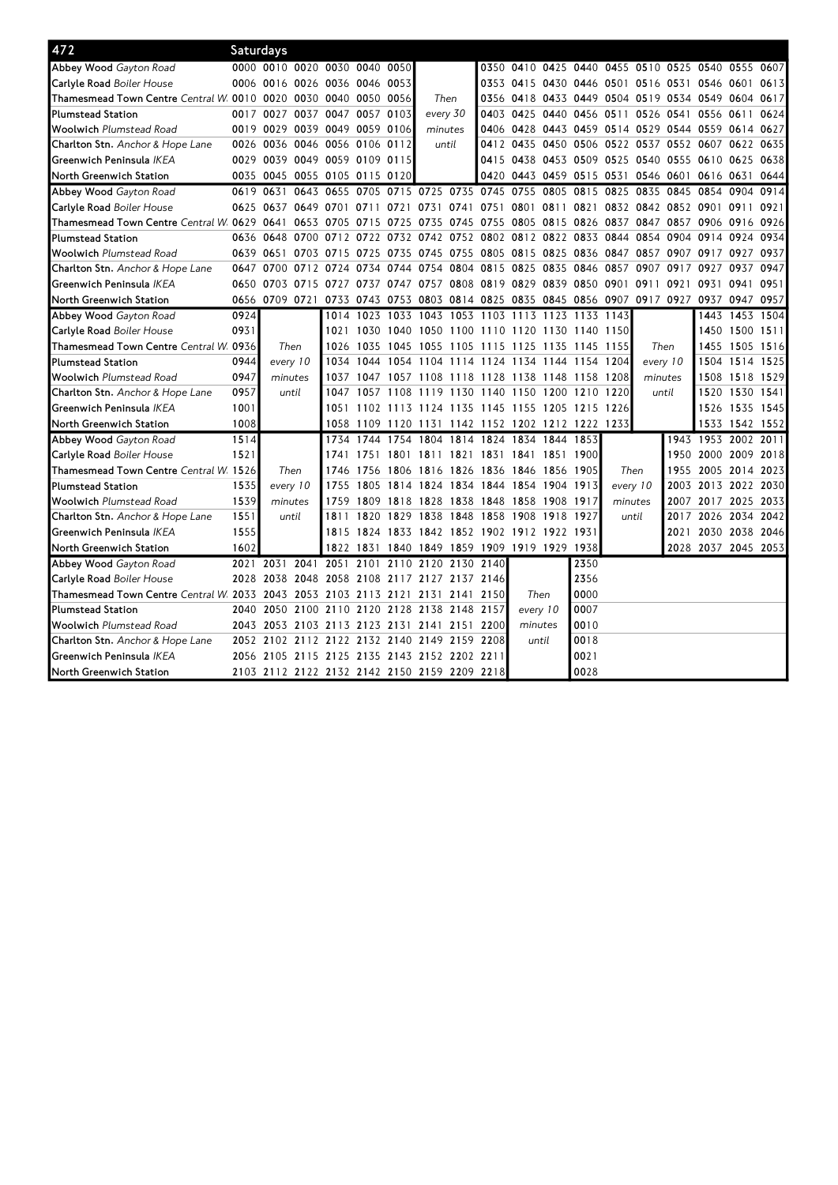| 472                                            | <b>Saturdays</b> |                                              |                |                     |                |                                                        |           |      |                          |           |                     |          |          |                                                   |                     |                |      |
|------------------------------------------------|------------------|----------------------------------------------|----------------|---------------------|----------------|--------------------------------------------------------|-----------|------|--------------------------|-----------|---------------------|----------|----------|---------------------------------------------------|---------------------|----------------|------|
| Abbey Wood Gayton Road                         |                  | 0000 0010 0020 0030 0040 0050                |                |                     |                |                                                        |           |      |                          |           |                     |          |          | 0350 0410 0425 0440 0455 0510 0525 0540 0555 0607 |                     |                |      |
| Carlyle Road Boiler House                      |                  | 0006 0016                                    |                | 0026 0036 0046 0053 |                |                                                        |           |      | 0353 0415                |           |                     |          |          | 0430 0446 0501 0516 0531 0546                     |                     | 0601           | 0613 |
| Thamesmead Town Centre Central W 0010 0020     |                  |                                              | 0030 0040 0050 |                     | 0056           | Then                                                   |           | 0356 | 0418                     |           | 0433 0449 0504 0519 |          |          | 0534 0549                                         |                     | 0604           | 0617 |
| <b>Plumstead Station</b>                       |                  | 0017 0027                                    | 0037 0047      | 0057                | 0103           | every 30                                               |           | 0403 | 0425                     |           | 0440 0456 0511      |          |          | 0526 0541 0556                                    |                     | 0611           | 0624 |
| <b>Woolwich Plumstead Road</b>                 |                  | 0019 0029                                    |                | 0039 0049 0059 0106 |                | minutes                                                |           | 0406 | 0428                     |           |                     |          |          | 0443 0459 0514 0529 0544 0559 0614 0627           |                     |                |      |
| Charlton Stn. Anchor & Hope Lane               |                  | 0026 0036                                    |                | 0046 0056 0106 0112 |                | until                                                  |           | 0412 |                          |           |                     |          |          | 0435 0450 0506 0522 0537 0552 0607 0622           |                     |                | 0635 |
| Greenwich Peninsula IKEA                       |                  | 0029 0039<br>0049 0059 0109 0115             |                |                     |                |                                                        |           | 0415 | 0438 0453 0509 0525      |           |                     |          |          | 0540 0555 0610 0625                               |                     |                | 0638 |
| North Greenwich Station                        |                  | 0035 0045                                    |                | 0055 0105 0115 0120 |                |                                                        |           | 0420 | 0443 0459 0515 0531      |           |                     |          |          | 0546 0601 0616 0631                               |                     |                | 0644 |
| Abbey Wood Gayton Road                         | 0619 0631        | 0643                                         | 0655           | 0705                | 0715 0725      |                                                        | 0735 0745 |      | 0755                     | 0805      | 0815                | 0825     | 0835     | 0845                                              | 0854                | 0904           | 0914 |
| Carlyle Road Boiler House                      |                  | 0625 0637                                    |                | 0649 0701 0711 0721 |                | 0731 0741 0751 0801 0811                               |           |      |                          |           | 0821                |          |          | 0832 0842 0852 0901 0911 0921                     |                     |                |      |
| Thamesmead Town Centre Central W. 0629 0641    |                  | 0653                                         | 0705           | 0715                | 0725           | 0735                                                   | 0745 0755 |      |                          |           |                     |          |          | 0805 0815 0826 0837 0847 0857 0906                |                     | 0916           | 0926 |
| <b>Plumstead Station</b>                       |                  | 0636 0648<br>0700                            | 0712           | 0722                |                | 0732 0742 0752 0802 0812 0822 0833 0844 0854 0904 0914 |           |      |                          |           |                     |          |          |                                                   |                     | 0924           | 0934 |
| <b>Woolwich</b> Plumstead Road                 |                  | 0639 0651<br>0703                            | 0715           | 0725                | 0735           | 0745 0755 0805                                         |           |      | 0815 0825 0836 0847 0857 |           |                     |          |          | 0907 0917                                         |                     | 0927           | 0937 |
| Charlton Stn. Anchor & Hope Lane               | 0647             | 0700<br>0712 0724                            |                | 0734                |                | 0744 0754 0804 0815                                    |           |      | 0825 0835                |           | 0846 0857           |          | 0907     | 0917                                              | 0927                | 0937           | 0947 |
| Greenwich Peninsula IKEA                       |                  | 0650 0703                                    |                |                     |                | 0715 0727 0737 0747 0757 0808 0819                     |           |      | 0829 0839 0850 0901 0911 |           |                     |          |          | 0921 0931                                         |                     | 0941           | 0951 |
| North Greenwich Station                        |                  | 0656 0709 0721                               |                |                     |                | 0733 0743 0753 0803 0814 0825                          |           |      |                          |           |                     |          |          | 0835 0845 0856 0907 0917 0927 0937 0947 0957      |                     |                |      |
| Abbey Wood Gayton Road                         | 0924             |                                              |                |                     |                | 1014 1023 1033 1043 1053 1103 1113 1123 1133 1143      |           |      |                          |           |                     |          |          |                                                   | 1443                | 1453           | 1504 |
| Carlyle Road Boiler House                      | 0931             |                                              | 1021           |                     |                | 1030 1040 1050 1100 1110 1120 1130 1140 1150           |           |      |                          |           |                     |          |          |                                                   | 1450                | 1500 1511      |      |
| Thamesmead Town Centre Central W. 0936         |                  | Then                                         | 1026           | 1035                | 1045           | 1055 1105 1115                                         |           |      | 1125 1135 1145 1155      |           |                     |          | Then     |                                                   | 1455                | 1505 1516      |      |
| <b>Plumstead Station</b>                       | 0944             | every 10                                     | 1034           | 1044                |                | 1054 1104 1114 1124 1134 1144 1154                     |           |      |                          |           |                     | 1204     | every 10 |                                                   | 1504                | 1514           | 1525 |
| <b>Woolwich Plumstead Road</b>                 | 0947             | minutes                                      | 1037           |                     | 1047 1057 1108 |                                                        | 1118 1128 |      | 1138 1148 1158           |           |                     | 1208     | minutes  |                                                   | 1508                | 1518 1529      |      |
| <b>Charlton Stn.</b> Anchor & Hope Lane        | 0957             | until                                        | 1047           | 1057                | 1108           | 1119                                                   | 1130 1140 |      | 1150                     | 1200 1210 |                     | 1220     | until    |                                                   | 1520                | 1530           | 1541 |
| Greenwich Peninsula IKEA                       | 1001             |                                              |                |                     |                | 1051 1102 1113 1124 1135 1145                          |           |      | 1155 1205 1215           |           |                     | 1226     |          |                                                   | 1526                | 1535           | 1545 |
| North Greenwich Station                        | 1008             |                                              |                |                     |                | 1058 1109 1120 1131 1142 1152 1202 1212 1222 1233      |           |      |                          |           |                     |          |          |                                                   |                     | 1533 1542 1552 |      |
| Abbey Wood Gayton Road                         | 1514             |                                              | 1734           |                     | 1744 1754      | 1804                                                   | 1814 1824 |      | 1834 1844 1853           |           |                     |          |          |                                                   | 1943 1953 2002 2011 |                |      |
| Carlyle Road Boiler House                      | 1521             |                                              | 1741           | 1751                | 1801           | 1811                                                   | 1821 1831 |      | 1841                     | 1851      | 1900l               |          |          |                                                   | 1950 2000           | 2009           | 2018 |
| Thamesmead Town Centre <i>Central W</i> , 1526 |                  | Then                                         | 1746           | 1756                | 1806 1816      |                                                        | 1826 1836 |      | 1846 1856 1905           |           |                     | Then     |          | 1955 2005                                         |                     | 2014           | 2023 |
| <b>Plumstead Station</b>                       | 1535             | every 10                                     | 1755           | 1805                | 1814 1824      |                                                        | 1834      | 1844 | 1854                     | 1904 1913 |                     | every 10 |          |                                                   | 2003 2013           | 2022           | 2030 |
| <b>Woolwich Plumstead Road</b>                 | 1539             | minutes                                      | 1759           |                     |                | 1809 1818 1828 1838 1848                               |           |      | 1858 1908 1917           |           |                     | minutes  |          |                                                   | 2007 2017 2025 2033 |                |      |
| Charlton Stn. Anchor & Hope Lane               | 1551             | until                                        | 1811           | 1820                | 1829           | 1838 1848 1858                                         |           |      | 1908 1918 1927           |           |                     | until    |          |                                                   | 2017 2026           | 2034           | 2042 |
| Greenwich Peninsula IKEA                       | 1555             |                                              |                |                     |                | 1815 1824 1833 1842 1852 1902 1912 1922 1931           |           |      |                          |           |                     |          |          | 2021                                              | 2030 2038           |                | 2046 |
| North Greenwich Station                        | 1602             |                                              |                | 1822 1831           | 1840           | 1849 1859 1909                                         |           |      | 1919 1929 1938           |           |                     |          |          |                                                   | 2028 2037           | 2045 2053      |      |
| Abbey Wood Gayton Road                         | 2021             | 2041<br>2031                                 | 2051           | 2101                | 2110           | 2120                                                   | 2130 2140 |      |                          |           | 2350                |          |          |                                                   |                     |                |      |
| Carlyle Road Boiler House                      |                  | 2028 2038                                    |                |                     |                | 2048 2058 2108 2117 2127 2137 2146                     |           |      |                          |           | 2356                |          |          |                                                   |                     |                |      |
| Thamesmead Town Centre Central W. 2033 2043    |                  |                                              |                |                     |                | 2053 2103 2113 2121 2131 2141 2150                     |           |      | Then                     |           | 0000                |          |          |                                                   |                     |                |      |
| <b>Plumstead Station</b>                       |                  | 2040 2050                                    |                |                     |                | 2100 2110 2120 2128 2138 2148 2157                     |           |      | every 10                 |           | 0007                |          |          |                                                   |                     |                |      |
| <b>Woolwich</b> Plumstead Road                 |                  | 2043 2053                                    |                |                     |                | 2103 2113 2123 2131 2141 2151 2200                     |           |      | minutes                  |           | 0010                |          |          |                                                   |                     |                |      |
| Charlton Stn. Anchor & Hope Lane               |                  | 2052 2102 2112 2122 2132 2140 2149 2159 2208 |                |                     |                |                                                        |           |      | until                    |           | 0018                |          |          |                                                   |                     |                |      |
| Greenwich Peninsula IKEA                       |                  | 2056 2105 2115 2125 2135 2143 2152 2202 2211 |                |                     |                |                                                        |           |      |                          |           | 0021                |          |          |                                                   |                     |                |      |
| North Greenwich Station                        |                  | 2103 2112 2122 2132 2142 2150 2159 2209 2218 |                |                     |                |                                                        |           |      |                          |           | 0028                |          |          |                                                   |                     |                |      |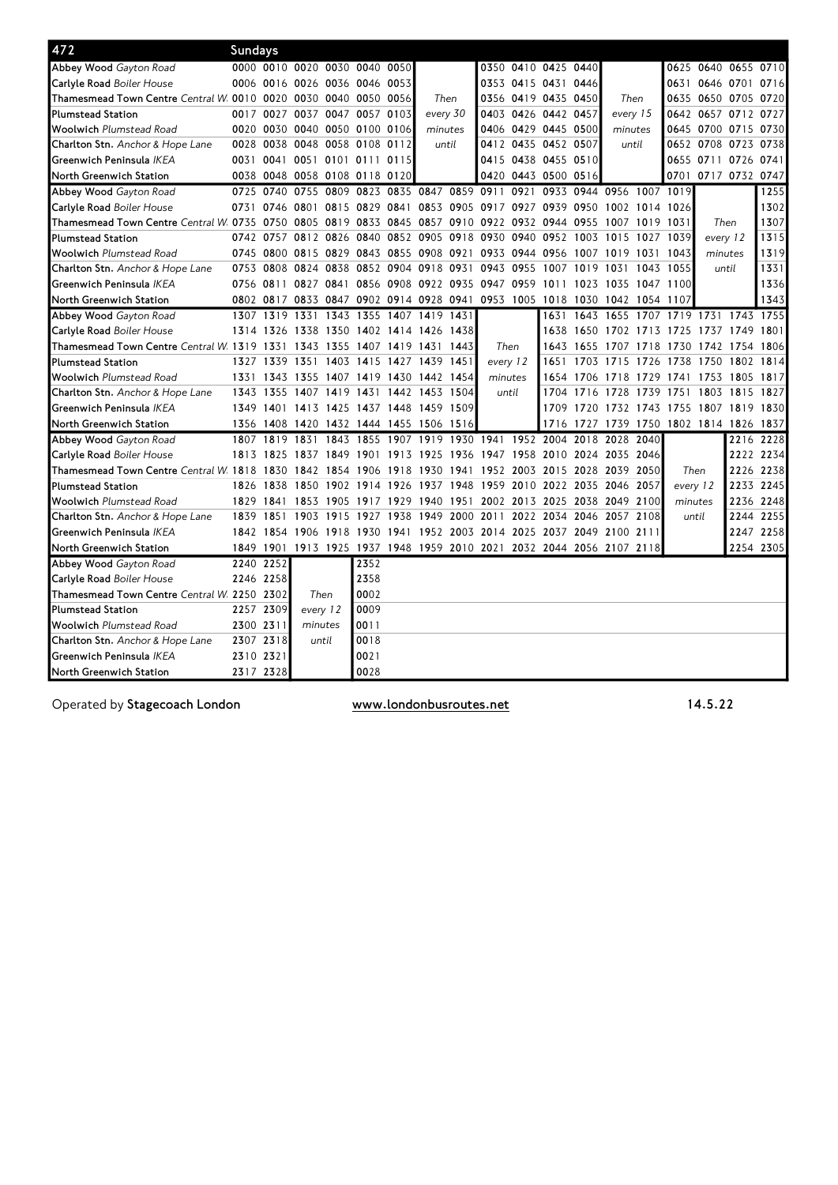| 472                                                            | Sundays   |           |                                         |                |                                    |      |                     |      |                                                        |                     |           |                                                                       |           |          |                               |           |           |
|----------------------------------------------------------------|-----------|-----------|-----------------------------------------|----------------|------------------------------------|------|---------------------|------|--------------------------------------------------------|---------------------|-----------|-----------------------------------------------------------------------|-----------|----------|-------------------------------|-----------|-----------|
| Abbey Wood Gayton Road                                         |           |           | 0000 0010 0020 0030 0040 0050           |                |                                    |      |                     |      |                                                        | 0350 0410 0425 0440 |           |                                                                       |           |          | 0625 0640 0655 0710           |           |           |
| Carlyle Road Boiler House                                      |           |           | 0006 0016 0026 0036 0046 0053           |                |                                    |      |                     |      |                                                        | 0353 0415 0431 0446 |           |                                                                       |           |          | 0631 0646 0701                |           | 0716      |
| Thamesmead Town Centre Central W 0010 0020 0030 0040 0050 0056 |           |           |                                         |                |                                    |      | Then                |      |                                                        | 0356 0419 0435 0450 |           | Then                                                                  |           |          | 0635 0650 0705 0720           |           |           |
| <b>Plumstead Station</b>                                       |           |           | 0017 0027 0037 0047 0057                |                |                                    | 0103 | every 30            |      |                                                        | 0403 0426 0442 0457 |           | every 15                                                              |           |          | 0642 0657 0712                |           | 0727      |
| <b>Woolwich Plumstead Road</b>                                 |           |           | 0020 0030 0040 0050 0100 0106           |                |                                    |      | minutes             |      |                                                        | 0406 0429 0445 0500 |           | minutes                                                               |           |          | 0645 0700 0715 0730           |           |           |
| Charlton Stn. Anchor & Hope Lane                               |           | 0028 0038 | 0048 0058 0108 0112                     |                |                                    |      | until               |      |                                                        | 0412 0435 0452 0507 |           | until                                                                 |           |          | 0652 0708 0723 0738           |           |           |
| Greenwich Peninsula IKEA                                       | 0031      | 0041      |                                         |                | 0051 0101 0111                     | 0115 |                     |      |                                                        | 0415 0438 0455 0510 |           |                                                                       |           |          | 0655 0711 0726                |           | 0741      |
| North Greenwich Station                                        |           |           | 0038 0048 0058 0108 0118 0120           |                |                                    |      |                     |      |                                                        | 0420 0443 0500 0516 |           |                                                                       |           |          | 0701 0717 0732 0747           |           |           |
| Abbey Wood Gayton Road                                         |           | 0725 0740 |                                         | 0755 0809 0823 |                                    |      | 0835 0847 0859 0911 |      |                                                        |                     |           | 0921 0933 0944 0956 1007 1019                                         |           |          |                               |           | 1255      |
| Carlyle Road Boiler House                                      |           | 0731 0746 | 0801 0815 0829                          |                |                                    | 0841 |                     |      | 0853 0905 0917 0927 0939 0950                          |                     |           | 1002 1014 1026                                                        |           |          |                               |           | 1302      |
| Thamesmead Town Centre Central W. 0735 0750                    |           |           |                                         |                |                                    |      |                     |      | 0805 0819 0833 0845 0857 0910 0922 0932 0944 0955      |                     |           | 1007 1019 1031                                                        |           |          | Then                          |           | 1307      |
| <b>Plumstead Station</b>                                       |           | 0742 0757 |                                         |                | 0812 0826 0840 0852 0905 0918 0930 |      |                     |      |                                                        | 0940 0952           | 1003      | 1015 1027 1039                                                        |           |          | every 12                      |           | 1315      |
| <b>Woolwich Plumstead Road</b>                                 |           |           |                                         |                |                                    |      |                     |      | 0745 0800 0815 0829 0843 0855 0908 0921 0933 0944 0956 |                     | 1007      | 1019 1031                                                             |           | 1043     | minutes                       |           | 1319      |
| Charlton Stn. Anchor & Hope Lane                               |           |           |                                         |                |                                    |      |                     |      | 0753 0808 0824 0838 0852 0904 0918 0931 0943 0955      | 1007                | 1019      | 1031                                                                  | 1043 1055 |          |                               | until     | 1331      |
| Greenwich Peninsula IKEA                                       |           | 0756 0811 | 0827 0841                               |                |                                    |      |                     |      | 0856 0908 0922 0935 0947 0959 1011                     |                     | 1023      | 1035 1047 1100                                                        |           |          |                               |           | 1336      |
| North Greenwich Station                                        |           | 0802 0817 |                                         |                |                                    |      |                     |      |                                                        |                     |           | 0833 0847 0902 0914 0928 0941 0953 1005 1018 1030 1042 1054 1107      |           |          |                               |           | 1343      |
| Abbey Wood Gayton Road                                         |           | 1307 1319 | 1331                                    | 1343           | 1355                               |      | 1407 1419 1431      |      |                                                        | 1631                | 1643      | 1655                                                                  | 1707      |          | 1719 1731 1743 1755           |           |           |
| Carlyle Road Boiler House                                      |           | 1314 1326 | 1338 1350                               |                |                                    |      | 1402 1414 1426 1438 |      |                                                        | 1638                | 1650      | 1702 1713 1725                                                        |           |          | 1737                          | 1749      | 1801      |
| Thamesmead Town Centre Central W 1319 1331                     |           |           | 1343                                    | 1355           | 1407                               | 1419 | 1431                | 1443 | Then                                                   | 1643                | 1655      | 1707                                                                  | 1718      | 1730     | 1742                          | 1754      | 1806      |
| <b>Plumstead Station</b>                                       |           | 1327 1339 | 1351                                    | 1403           | 1415                               |      | 1427 1439 1451      |      | every 12                                               | 1651                | 1703      | 1715                                                                  | 1726      | 1738     | 1750                          | 1802      | 1814      |
| <b>Woolwich Plumstead Road</b>                                 |           |           | 1331 1343 1355 1407 1419 1430 1442 1454 |                |                                    |      |                     |      | minutes                                                | 1654                | 1706      |                                                                       |           |          | 1718 1729 1741 1753 1805 1817 |           |           |
| Charlton Stn. Anchor & Hope Lane                               |           | 1343 1355 | 1407 1419 1431                          |                |                                    |      | 1442 1453 1504      |      | until                                                  | 1704                | 1716      | 1728                                                                  |           |          | 1739 1751 1803                | 1815 1827 |           |
| Greenwich Peninsula IKEA                                       |           | 1349 1401 | 1413 1425 1437 1448 1459 1509           |                |                                    |      |                     |      |                                                        | 1709                | 1720      |                                                                       |           |          | 1732 1743 1755 1807 1819 1830 |           |           |
| North Greenwich Station                                        | 1356      | 1408      |                                         |                | 1420 1432 1444 1455 1506 1516      |      |                     |      |                                                        |                     | 1716 1727 |                                                                       |           |          | 1739 1750 1802 1814 1826 1837 |           |           |
| Abbey Wood Gayton Road                                         |           | 1807 1819 | 1831                                    | 1843           | 1855                               | 1907 | 1919 1930 1941      |      |                                                        | 1952 2004           | 2018      | 2028                                                                  | 2040      |          |                               | 2216      | 2228      |
| Carlyle Road Boiler House                                      |           | 1813 1825 |                                         |                |                                    |      |                     |      |                                                        |                     |           | 1837 1849 1901 1913 1925 1936 1947 1958 2010 2024 2035 2046           |           |          |                               |           | 2222 2234 |
| Thamesmead Town Centre Central W 1818 1830                     |           |           | 1842 1854                               |                | 1906                               |      |                     |      | 1918 1930 1941 1952 2003 2015 2028                     |                     |           | 2039 2050                                                             |           |          | Then                          |           | 2226 2238 |
| <b>Plumstead Station</b>                                       | 1826      | 1838      | 1850 1902                               |                | 1914 1926                          |      | 1937                | 1948 | 1959                                                   | 2010 2022 2035      |           | 2046 2057                                                             |           | every 12 |                               | 2233      | 2245      |
| <b>Woolwich Plumstead Road</b>                                 | 1829      | 1841      | 1853                                    | 1905           | 1917                               | 1929 | 1940 1951           |      | 2002                                                   | 2013 2025 2038      |           | 2049 2100                                                             |           |          | minutes                       | 2236      | 2248      |
| Charlton Stn. Anchor & Hope Lane                               | 1839 1851 |           | 1903                                    | 1915           | 1927                               | 1938 | 1949 2000           |      | 2011                                                   | 2022 2034           | 2046      | 2057                                                                  | 2108      |          | until                         | 2244      | 2255      |
| Greenwich Peninsula IKEA                                       |           |           |                                         |                |                                    |      |                     |      |                                                        |                     |           | 1842 1854 1906 1918 1930 1941 1952 2003 2014 2025 2037 2049 2100 2111 |           |          |                               |           | 2247 2258 |
| North Greenwich Station                                        |           |           |                                         |                |                                    |      |                     |      |                                                        |                     |           | 1849 1901 1913 1925 1937 1948 1959 2010 2021 2032 2044 2056 2107 2118 |           |          |                               |           | 2254 2305 |
| Abbey Wood Gayton Road                                         |           | 2240 2252 |                                         |                | 2352                               |      |                     |      |                                                        |                     |           |                                                                       |           |          |                               |           |           |
| Carlyle Road Boiler House                                      |           | 2246 2258 |                                         |                | 2358                               |      |                     |      |                                                        |                     |           |                                                                       |           |          |                               |           |           |
| Thamesmead Town Centre Central W. 2250 2302                    |           |           | Then                                    |                | 0002                               |      |                     |      |                                                        |                     |           |                                                                       |           |          |                               |           |           |
| <b>Plumstead Station</b>                                       |           | 2257 2309 | every 12                                |                | 0009                               |      |                     |      |                                                        |                     |           |                                                                       |           |          |                               |           |           |
| <b>Woolwich Plumstead Road</b>                                 | 2300 2311 |           | minutes                                 |                | 0011                               |      |                     |      |                                                        |                     |           |                                                                       |           |          |                               |           |           |
| Charlton Stn. Anchor & Hope Lane                               |           | 2307 2318 |                                         | until          | 0018                               |      |                     |      |                                                        |                     |           |                                                                       |           |          |                               |           |           |
| Greenwich Peninsula IKEA                                       | 2310 2321 |           |                                         |                | 0021                               |      |                     |      |                                                        |                     |           |                                                                       |           |          |                               |           |           |
| North Greenwich Station                                        |           | 2317 2328 |                                         |                | 0028                               |      |                     |      |                                                        |                     |           |                                                                       |           |          |                               |           |           |

Operated by Stagecoach London www.londonbusroutes.net 14.5.22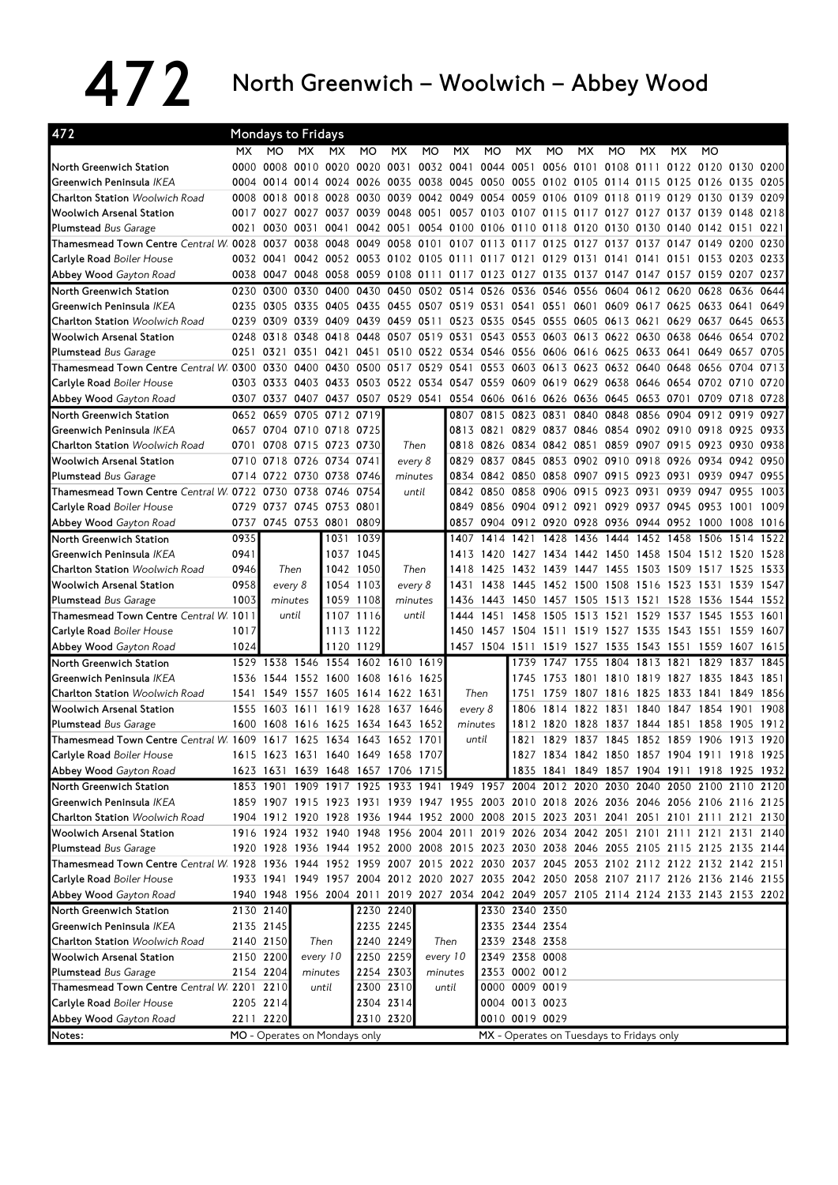## 472 North Greenwich – Woolwich – Abbey Wood

| 472                                                                                                                         | <b>Mondays to Fridays</b> |                                    |           |          |           |           |                                    |                                    |                                                                       |                                           |                          |           |                     |           |           |                                                                                           |                |      |
|-----------------------------------------------------------------------------------------------------------------------------|---------------------------|------------------------------------|-----------|----------|-----------|-----------|------------------------------------|------------------------------------|-----------------------------------------------------------------------|-------------------------------------------|--------------------------|-----------|---------------------|-----------|-----------|-------------------------------------------------------------------------------------------|----------------|------|
|                                                                                                                             | <b>MX</b>                 | MO.                                | <b>MX</b> | MX.      | MO        | МX        | <b>MO</b>                          | МX                                 | MO                                                                    | <b>MX</b>                                 | MO                       | МX        | <b>MO</b>           | МX        | MX.       | MO                                                                                        |                |      |
| North Greenwich Station                                                                                                     | 0000                      |                                    |           |          |           |           |                                    |                                    | 0008 0010 0020 0020 0031 0032 0041 0044 0051                          |                                           |                          |           | 0056 0101 0108 0111 |           |           | 0122 0120 0130 0200                                                                       |                |      |
| Greenwich Peninsula IKEA                                                                                                    |                           |                                    |           |          |           |           |                                    |                                    |                                                                       |                                           |                          |           |                     |           |           | 0004 0014 0014 0024 0026 0035 0038 0045 0050 0055 0102 0105 0114 0115 0125 0126 0135 0205 |                |      |
| <b>Charlton Station Woolwich Road</b>                                                                                       |                           | 0008 0018                          |           |          |           |           |                                    |                                    | 0018 0028 0030 0039 0042 0049 0054 0059 0106 0109 0118                |                                           |                          |           |                     | 0119      |           | 0129 0130 0139 0209                                                                       |                |      |
| <b>Woolwich Arsenal Station</b>                                                                                             |                           |                                    |           |          |           |           |                                    |                                    |                                                                       |                                           |                          |           |                     |           |           | 0017 0027 0027 0037 0039 0048 0051 0057 0103 0107 0115 0117 0127 0127 0137 0139 0148 0218 |                |      |
| <b>Plumstead</b> Bus Garage                                                                                                 | 0021                      |                                    |           |          |           |           |                                    |                                    |                                                                       |                                           |                          |           |                     |           |           | 0030 0031 0041 0042 0051 0054 0100 0106 0110 0118 0120 0130 0130 0140 0142 0151 0221      |                |      |
| Thamesmead Town Centre Central W. 0028 0037 0038 0048 0049 0058 0101 0107 0113 0117 0125 0127 0137 0137                     |                           |                                    |           |          |           |           |                                    |                                    |                                                                       |                                           |                          |           |                     |           |           | 0147 0149 0200                                                                            |                | 0230 |
| Carlyle Road Boiler House                                                                                                   |                           | 0032 0041                          |           |          |           |           |                                    |                                    | 0042 0052 0053 0102 0105 0111 0117 0121 0129 0131 0141 0141           |                                           |                          |           |                     |           |           | 0151 0153 0203 0233                                                                       |                |      |
| Abbey Wood Gayton Road                                                                                                      |                           |                                    |           |          |           |           |                                    |                                    |                                                                       |                                           |                          |           |                     |           |           | 0038 0047 0048 0058 0059 0108 0111 0117 0123 0127 0135 0137 0147 0147 0157 0159 0207 0237 |                |      |
| North Greenwich Station                                                                                                     |                           | 0230 0300                          |           |          |           |           |                                    | 0330 0400 0430 0450 0502 0514 0526 |                                                                       | 0536 0546 0556 0604                       |                          |           |                     |           |           | 0612 0620 0628 0636                                                                       |                | 0644 |
| Greenwich Peninsula IKEA                                                                                                    |                           |                                    |           |          |           |           |                                    |                                    |                                                                       |                                           |                          |           |                     |           |           | 0235 0305 0335 0405 0435 0455 0507 0519 0531 0541 0551 0601 0609 0617 0625 0633 0641 0649 |                |      |
| <b>Charlton Station</b> Woolwich Road                                                                                       |                           |                                    |           |          |           |           |                                    |                                    | 0239 0309 0339 0409 0439 0459 0511 0523 0535 0545 0555 0605 0613 0621 |                                           |                          |           |                     |           |           | 0629 0637 0645 0653                                                                       |                |      |
| <b>Woolwich Arsenal Station</b>                                                                                             |                           |                                    |           |          |           |           |                                    |                                    |                                                                       |                                           |                          |           |                     |           |           | 0248 0318 0348 0418 0448 0507 0519 0531 0543 0553 0603 0613 0622 0630 0638 0646 0654      |                | 0702 |
| <b>Plumstead Bus Garage</b>                                                                                                 |                           |                                    |           |          |           |           |                                    |                                    | 0251 0321 0351 0421 0451 0510 0522 0534 0546 0556 0606 0616 0625      |                                           |                          |           |                     |           |           | 0633 0641 0649 0657 0705                                                                  |                |      |
| Thamesmead Town Centre Central W. 0300 0330 0400 0430 0500 0517 0529 0541 0553 0603 0613 0623 0632 0640 0648 0656 0704 0713 |                           |                                    |           |          |           |           |                                    |                                    |                                                                       |                                           |                          |           |                     |           |           |                                                                                           |                |      |
| <b>Carlyle Road</b> Boiler House                                                                                            |                           |                                    |           |          |           |           |                                    |                                    |                                                                       |                                           |                          |           |                     |           |           | 0303 0333 0403 0433 0503 0522 0534 0547 0559 0609 0619 0629 0638 0646 0654 0702 0710 0720 |                |      |
| Abbey Wood Gayton Road                                                                                                      |                           | 0307 0337 0407 0437 0507 0529 0541 |           |          |           |           |                                    |                                    | 0554 0606 0616 0626 0636 0645                                         |                                           |                          |           |                     | 0653 0701 |           |                                                                                           | 0709 0718 0728 |      |
| North Greenwich Station                                                                                                     |                           | 0652 0659 0705 0712 0719           |           |          |           |           |                                    | 0807                               | 0815                                                                  | 0823 0831                                 |                          |           | 0840 0848           |           |           | 0856 0904 0912 0919 0927                                                                  |                |      |
| Greenwich Peninsula IKEA                                                                                                    |                           | 0657 0704 0710 0718 0725           |           |          |           |           |                                    |                                    | 0813 0821                                                             |                                           |                          |           |                     |           |           | 0829 0837 0846 0854 0902 0910 0918 0925                                                   |                | 0933 |
| <b>Charlton Station</b> Woolwich Road                                                                                       |                           | 0701 0708 0715 0723 0730           |           |          |           |           | Then                               |                                    | 0818 0826                                                             |                                           |                          |           |                     |           |           | 0834 0842 0851 0859 0907 0915 0923 0930 0938                                              |                |      |
| <b>Woolwich Arsenal Station</b>                                                                                             |                           | 0710 0718 0726 0734 0741           |           |          |           |           | every 8                            |                                    |                                                                       |                                           |                          |           |                     |           |           | 0829 0837 0845 0853 0902 0910 0918 0926 0934 0942 0950                                    |                |      |
| <b>Plumstead Bus Garage</b>                                                                                                 |                           | 0714 0722 0730 0738 0746           |           |          |           |           | minutes                            |                                    | 0834 0842 0850 0858 0907 0915                                         |                                           |                          |           |                     |           |           | 0923 0931 0939 0947 0955                                                                  |                |      |
| Thamesmead Town Centre Central W. 0722 0730 0738 0746 0754                                                                  |                           |                                    |           |          |           |           | until                              |                                    | 0842 0850                                                             |                                           | 0858 0906 0915 0923      |           |                     | 0931      |           | 0939 0947 0955                                                                            |                | 1003 |
| Carlyle Road Boiler House                                                                                                   |                           | 0729 0737 0745 0753 0801           |           |          |           |           |                                    |                                    |                                                                       |                                           |                          |           |                     |           |           | 0849 0856 0904 0912 0921 0929 0937 0945 0953 1001 1009                                    |                |      |
| Abbey Wood Gayton Road                                                                                                      |                           | 0737 0745 0753 0801 0809           |           |          |           |           |                                    |                                    |                                                                       |                                           |                          |           |                     |           |           | 0857 0904 0912 0920 0928 0936 0944 0952 1000 1008                                         |                | 1016 |
| North Greenwich Station                                                                                                     | 0935                      |                                    |           |          | 1031 1039 |           |                                    |                                    |                                                                       |                                           |                          |           |                     |           |           | 1407 1414 1421 1428 1436 1444 1452 1458 1506 1514                                         |                | 1522 |
| Greenwich Peninsula IKEA                                                                                                    | 0941                      |                                    |           |          | 1037 1045 |           |                                    |                                    | 1413 1420                                                             |                                           |                          |           |                     |           |           | 1427 1434 1442 1450 1458 1504 1512 1520                                                   |                | 1528 |
| <b>Charlton Station Woolwich Road</b>                                                                                       | 0946                      | Then                               |           |          | 1042 1050 |           | Then                               |                                    | 1418 1425                                                             |                                           | 1432 1439 1447 1455 1503 |           |                     |           |           | 1509 1517 1525                                                                            |                | 1533 |
| <b>Woolwich Arsenal Station</b>                                                                                             | 0958                      | every 8                            |           |          | 1054 1103 |           | every 8                            | 1431                               | 1438                                                                  |                                           | 1445 1452 1500 1508      |           |                     | 1516      | 1523 1531 |                                                                                           | 1539           | 1547 |
| <b>Plumstead Bus Garage</b>                                                                                                 | 1003                      |                                    | minutes   |          | 1059 1108 |           | minutes                            |                                    |                                                                       |                                           |                          |           |                     |           |           | 1436 1443 1450 1457 1505 1513 1521 1528 1536 1544 1552                                    |                |      |
| Thamesmead Town Centre Central W 1011                                                                                       |                           |                                    | until     |          | 1107 1116 |           | until                              | 1444                               |                                                                       | 1451 1458 1505 1513 1521 1529             |                          |           |                     |           |           | 1537 1545 1553                                                                            |                | 1601 |
| <b>Carlyle Road</b> Boiler House                                                                                            | 1017                      |                                    |           |          | 1113 1122 |           |                                    |                                    |                                                                       |                                           |                          |           |                     |           |           | 1450 1457 1504 1511 1519 1527 1535 1543 1551 1559                                         |                | 1607 |
| Abbey Wood Gayton Road                                                                                                      | 1024                      |                                    |           |          | 1120 1129 |           |                                    |                                    | 1457 1504 1511                                                        |                                           | 1519 1527 1535           |           |                     | 1543      |           | 1551 1559 1607                                                                            |                | 1615 |
| North Greenwich Station                                                                                                     | 1529                      | 1538 1546 1554 1602 1610 1619      |           |          |           |           |                                    |                                    |                                                                       | 1739                                      | 1747                     |           |                     |           |           | 1755 1804 1813 1821 1829 1837 1845                                                        |                |      |
| Greenwich Peninsula IKEA                                                                                                    |                           | 1536 1544 1552 1600 1608 1616 1625 |           |          |           |           |                                    |                                    |                                                                       | 1745                                      |                          |           | 1753 1801 1810 1819 |           |           | 1827 1835 1843                                                                            |                | 1851 |
| <b>Charlton Station</b> Woolwich Road                                                                                       |                           | 1541 1549 1557 1605 1614 1622 1631 |           |          |           |           |                                    |                                    | Then                                                                  | 1751                                      | 1759                     | 1807 1816 |                     | 1825      | 1833 1841 |                                                                                           | 1849           | 1856 |
| <b>Woolwich Arsenal Station</b>                                                                                             |                           | 1555 1603 1611 1619 1628 1637 1646 |           |          |           |           |                                    |                                    | every 8                                                               | 1806                                      |                          |           | 1814 1822 1831 1840 |           |           | 1847 1854                                                                                 | 1901           | 1908 |
| Plumstead Bus Garage                                                                                                        | 1600                      | 1608 1616 1625 1634 1643 1652      |           |          |           |           |                                    |                                    | minutes                                                               |                                           |                          |           |                     |           |           | 1812 1820 1828 1837 1844 1851 1858 1905                                                   |                | 1912 |
| Thamesmead Town Centre Central W 1609 1617 1625 1634 1643 1652 1701                                                         |                           |                                    |           |          |           |           |                                    |                                    | until                                                                 |                                           |                          |           |                     |           |           | 1821 1829 1837 1845 1852 1859 1906 1913 1920                                              |                |      |
| Carlyle Road Boiler House                                                                                                   |                           |                                    |           |          |           |           | 1615 1623 1631 1640 1649 1658 1707 |                                    |                                                                       |                                           |                          |           |                     |           |           | 1827 1834 1842 1850 1857 1904 1911 1918 1925                                              |                |      |
| Abbey Wood Gayton Road                                                                                                      |                           | 1623 1631 1639 1648 1657 1706 1715 |           |          |           |           |                                    |                                    |                                                                       |                                           |                          |           |                     |           |           | 1835 1841 1849 1857 1904 1911 1918 1925 1932                                              |                |      |
| North Greenwich Station                                                                                                     |                           |                                    |           |          |           |           |                                    |                                    |                                                                       |                                           |                          |           |                     |           |           | 1853 1901 1909 1917 1925 1933 1941 1949 1957 2004 2012 2020 2030 2040 2050 2100 2110 2120 |                |      |
| Greenwich Peninsula IKEA                                                                                                    |                           |                                    |           |          |           |           |                                    |                                    |                                                                       |                                           |                          |           |                     |           |           | 1859 1907 1915 1923 1931 1939 1947 1955 2003 2010 2018 2026 2036 2046 2056 2106 2116 2125 |                |      |
| Charlton Station Woolwich Road                                                                                              |                           |                                    |           |          |           |           |                                    |                                    |                                                                       |                                           |                          |           |                     |           |           | 1904 1912 1920 1928 1936 1944 1952 2000 2008 2015 2023 2031 2041 2051 2101 2111 2121 2130 |                |      |
| <b>Woolwich Arsenal Station</b>                                                                                             |                           |                                    |           |          |           |           |                                    |                                    |                                                                       |                                           |                          |           |                     |           |           | 1916 1924 1932 1940 1948 1956 2004 2011 2019 2026 2034 2042 2051 2101 2111 2121 2131 2140 |                |      |
| <b>Plumstead Bus Garage</b>                                                                                                 |                           |                                    |           |          |           |           |                                    |                                    |                                                                       |                                           |                          |           |                     |           |           | 1920 1928 1936 1944 1952 2000 2008 2015 2023 2030 2038 2046 2055 2105 2115 2125 2135 2144 |                |      |
| Thamesmead Town Centre Central W. 1928 1936 1944 1952 1959 2007 2015 2022 2030 2037 2045 2053 2102 2112 2122 2132 2142 2151 |                           |                                    |           |          |           |           |                                    |                                    |                                                                       |                                           |                          |           |                     |           |           |                                                                                           |                |      |
| <b>Carlyle Road</b> Boiler House                                                                                            |                           |                                    |           |          |           |           |                                    |                                    |                                                                       |                                           |                          |           |                     |           |           | 1933 1941 1949 1957 2004 2012 2020 2027 2035 2042 2050 2058 2107 2117 2126 2136 2146 2155 |                |      |
| Abbey Wood Gayton Road                                                                                                      |                           |                                    |           |          |           |           |                                    |                                    |                                                                       |                                           |                          |           |                     |           |           | 1940 1948 1956 2004 2011 2019 2027 2034 2042 2049 2057 2105 2114 2124 2133 2143 2153 2202 |                |      |
| North Greenwich Station                                                                                                     |                           | 2130 2140                          |           |          |           | 2230 2240 |                                    |                                    |                                                                       | 2330 2340 2350                            |                          |           |                     |           |           |                                                                                           |                |      |
|                                                                                                                             |                           |                                    |           |          |           |           |                                    |                                    |                                                                       |                                           |                          |           |                     |           |           |                                                                                           |                |      |
| Greenwich Peninsula <i>IKEA</i>                                                                                             |                           | 2135 2145                          |           |          |           | 2235 2245 |                                    |                                    |                                                                       | 2335 2344 2354                            |                          |           |                     |           |           |                                                                                           |                |      |
| Charlton Station Woolwich Road                                                                                              |                           | 2140 2150                          |           | Then     |           | 2240 2249 |                                    | Then                               |                                                                       | 2339 2348 2358                            |                          |           |                     |           |           |                                                                                           |                |      |
| <b>Woolwich Arsenal Station</b>                                                                                             |                           | 2150 2200                          |           | every 10 |           | 2250 2259 |                                    | every 10                           |                                                                       | 2349 2358 0008                            |                          |           |                     |           |           |                                                                                           |                |      |
| <b>Plumstead</b> Bus Garage                                                                                                 |                           | 2154 2204                          |           | minutes  |           | 2254 2303 |                                    | minutes                            |                                                                       | 2353 0002 0012                            |                          |           |                     |           |           |                                                                                           |                |      |
| Thamesmead Town Centre Central W 2201 2210                                                                                  |                           |                                    |           | until    |           | 2300 2310 |                                    | until                              |                                                                       | 0000 0009 0019                            |                          |           |                     |           |           |                                                                                           |                |      |
| <b>Carlyle Road</b> Boiler House                                                                                            |                           | 2205 2214                          |           |          |           | 2304 2314 |                                    |                                    |                                                                       | 0004 0013 0023                            |                          |           |                     |           |           |                                                                                           |                |      |
| Abbey Wood Gayton Road                                                                                                      |                           | 2211 2220                          |           |          |           | 2310 2320 |                                    |                                    |                                                                       | 0010 0019 0029                            |                          |           |                     |           |           |                                                                                           |                |      |
| Notes:                                                                                                                      |                           | MO - Operates on Mondays only      |           |          |           |           |                                    |                                    |                                                                       | MX - Operates on Tuesdays to Fridays only |                          |           |                     |           |           |                                                                                           |                |      |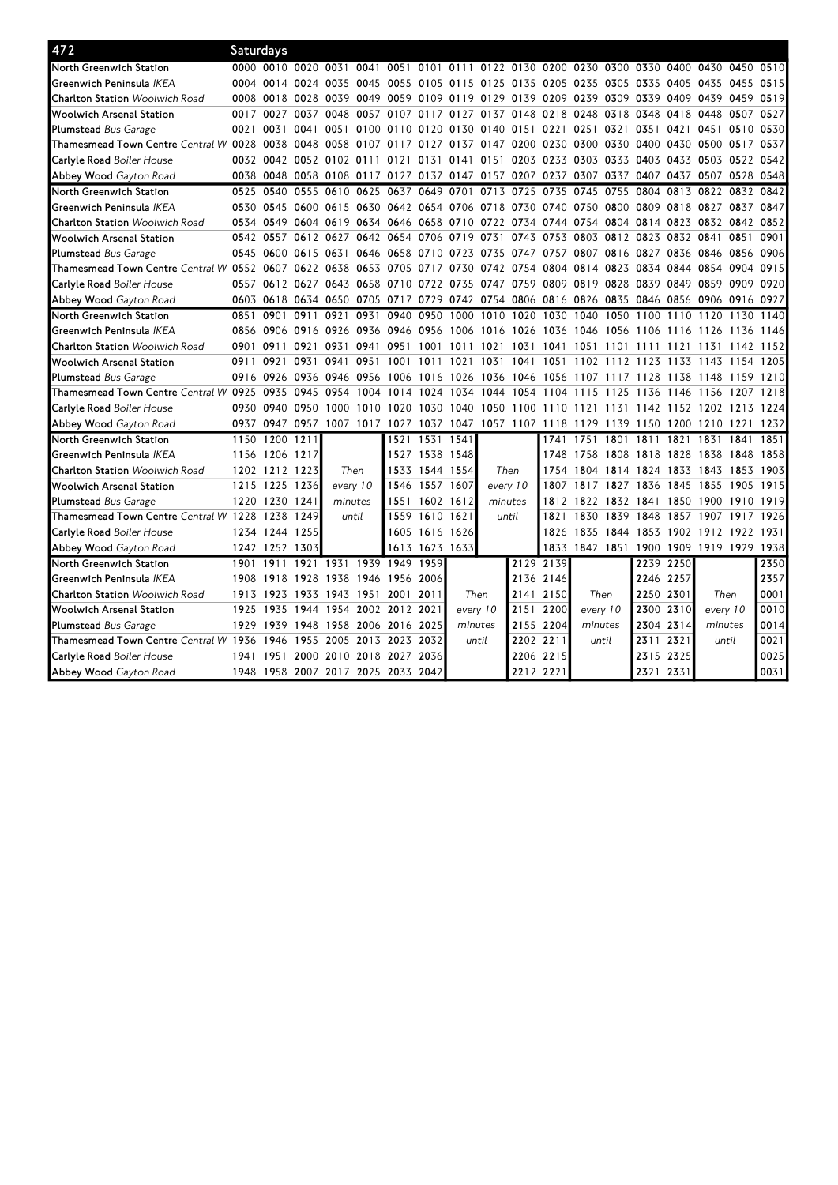| 472                                             | Saturdays |                |                     |                     |           |                                                             |                |                                                                  |          |           |                     |                |           |                                    |           |                |           |      |
|-------------------------------------------------|-----------|----------------|---------------------|---------------------|-----------|-------------------------------------------------------------|----------------|------------------------------------------------------------------|----------|-----------|---------------------|----------------|-----------|------------------------------------|-----------|----------------|-----------|------|
| North Greenwich Station                         |           |                | 0000 0010 0020 0031 |                     | 0041      |                                                             |                | 0051 0101 0111 0122 0130 0200 0230 0300 0330 0400 0430 0450 0510 |          |           |                     |                |           |                                    |           |                |           |      |
| Greenwich Peninsula <i>IKEA</i>                 |           | 0004 0014      | 0024                | 0035                | 0045      | 0055                                                        |                | 0105 0115 0125                                                   |          |           | 0135 0205 0235 0305 |                |           | 0335                               | 0405 0435 |                | 0455      | 0515 |
| <b>Charlton Station</b> Woolwich Road           |           | 0008 0018      | 0028                | 0039                | 0049      | 0059                                                        | 0109           | 0119 0129                                                        |          | 0139 0209 |                     | 0239 0309      |           | 0339                               | 0409 0439 |                | 0459      | 0519 |
| Woolwich Arsenal Station                        | 0017      | 0027           | 0037                | 0048                | 0057      | 0107                                                        | 0117           | 0127 0137                                                        |          | 0148      | 0218                | 0248           | 0318      | 0348                               | 0418 0448 |                | 0507      | 0527 |
| <b>Plumstead</b> Bus Garage                     | 0021      | 0031           | 0041                | 0051                | 0100      | 0110                                                        | 0120           | 0130 0140                                                        |          | 0151 0221 |                     | 0251           | 0321      | 0351                               |           | 0421 0451      | 0510 0530 |      |
| Thamesmead Town Centre $\emph{Central W.}$ 0028 |           | 0038           | 0048                | 0058                | 0107      | 0117                                                        | 0127           | 0137 0147                                                        |          | 0200      | 0230                | 0300           | 0330      | 0400                               | 0430 0500 |                | 0517      | 0537 |
| <b>Carlyle Road</b> Boiler House                |           | 0032 0042      |                     | 0052 0102 0111      |           | 0121                                                        | 0131           | 0141 0151                                                        |          |           | 0203 0233 0303 0333 |                |           | 0403 0433 0503 0522                |           |                |           | 0542 |
| <b>Abbey Wood</b> Gayton Road                   |           | 0038 0048      | 0058                | 0108                | 0117 0127 |                                                             | 0137           | 0147 0157                                                        |          | 0207 0237 |                     | 0307           | 0337      | 0407                               | 0437 0507 |                | 0528      | 0548 |
| North Greenwich Station                         | 0525      | 0540           | 0555                | 0610                | 0625      | 0637                                                        | 0649           | 0701                                                             | 0713     | 0725      | 0735                | 0745           | 0755      | 0804                               | 0813 0822 |                | 0832      | 0842 |
| Greenwich Peninsula <i>IKEA</i>                 |           | 0530 0545      |                     |                     |           | 0600 0615 0630 0642 0654 0706 0718 0730 0740 0750 0800 0809 |                |                                                                  |          |           |                     |                |           |                                    |           | 0818 0827 0837 |           | 0847 |
| <b>Charlton Station</b> Woolwich Road           |           | 0534 0549      |                     | 0604 0619 0634 0646 |           |                                                             |                | 0658 0710 0722                                                   |          |           | 0734 0744           | 0754           | 0804      | 0814                               |           | 0823 0832 0842 |           | 0852 |
| Woolwich Arsenal Station                        |           | 0542 0557      | 0612 0627           |                     |           | 0642 0654 0706                                              |                | 0719 0731                                                        |          | 0743      | 0753                | 0803           | 0812 0823 |                                    |           | 0832 0841      | 0851      | 0901 |
| <b>Plumstead</b> Bus Garage                     |           | 0545 0600      | 0615                | 0631                |           | 0646 0658                                                   | 0710           | 0723 0735                                                        |          | 0747      | 0757                | 0807           | 0816      | 0827                               | 0836 0846 |                | 0856      | 0906 |
| Thamesmead Town Centre Central W 0552 0607      |           |                | 0622 0638           |                     | 0653      | 0705                                                        | 0717           | 0730 0742                                                        |          | 0754      | 0804                | 0814           | 0823      | 0834                               | 0844 0854 |                | 0904      | 0915 |
| <b>Carlvle Road</b> Boiler House                | 0557      |                |                     |                     |           | 0612 0627 0643 0658 0710 0722 0735 0747 0759 0809 0819 0828 |                |                                                                  |          |           |                     |                |           | 0839                               | 0849 0859 |                | 0909      | 0920 |
| Abbey Wood Gayton Road                          |           | 0603 0618      |                     |                     |           | 0634 0650 0705 0717 0729 0742 0754 0806 0816 0826 0835      |                |                                                                  |          |           |                     |                |           | 0846 0856 0906 0916 0927           |           |                |           |      |
| North Greenwich Station                         | 0851      | 0901           | 0911                | 0921                | 0931      | 0940 0950                                                   |                | 1000 1010                                                        |          | 1020      | 1030 1040           |                | 1050      | 1100                               | 1110      | 1120           | 1130      | 1140 |
| Greenwich Peninsula <i>IKEA</i>                 |           | 0856 0906      | 0916                | 0926                | 0936 0946 |                                                             | 0956           | 1006 1016                                                        |          | 1026      | 1036 1046           |                | 1056      | 1106                               | 1116      | 1126           | 1136      | 1146 |
| <b>Charlton Station</b> Woolwich Road           | 0901      | 0911           | 0921                | 0931                | 0941      | 0951                                                        | 1001           | 1011                                                             | 1021     | 1031      | 1041                | 1051           | 1101      | 1111                               | 1121      | 1131           | 1142      | 1152 |
| Woolwich Arsenal Station                        | 0911      | 0921           | 0931                | 0941                | 0951      | 1001                                                        | 1011           | 1021 1031                                                        |          | 1041      | 1051                | 1102           | 1112 1123 |                                    | 1133      | 1143           | 1154      | 1205 |
| <b>Plumstead</b> Bus Garage                     | 0916      | 0926           | 0936                | 0946                | 0956      | 1006                                                        | 1016           | 1026                                                             | 1036     | 1046      | 1056                | 1107           | 111/      | 1128                               | 1138      | 1148           | 1159      | 1210 |
| Thamesmead Town Centre Central W. 0925          |           | 0935           | 0945                | 0954                | 1004      | 1014                                                        | 1024           | 1034                                                             | 1044     | 1054      | 1104                | 1115           | 11<br>25  | 1136                               | 1146      | 1156           | 1207      | 1218 |
| <b>Carlyle Road</b> Boiler House                | 0930      | 0940           | 0950                | 1000                | 1010      | 1020                                                        | 1030           | 1040                                                             | 1050     | 1100      | 1110                | 1121           | 1131      | 1142                               | 1152 1202 |                | 1213      | 1224 |
| <b>Abbey Wood</b> Gayton Road                   |           | 0937 0947 0957 |                     |                     |           | 1007 1017 1027 1037 1047 1057 1107                          |                |                                                                  |          |           |                     |                |           | 1118 1129 1139 1150 1200 1210 1221 |           |                |           | 1232 |
| North Greenwich Station                         | 1150      | 1200 1211      |                     |                     |           | 1521                                                        | 1531 1541      |                                                                  |          |           | 1741                | 1751           | 1801      | 1811                               | 1821      | 1831           | 1841      | 1851 |
| Greenwich Peninsula <i>IKEA</i>                 | 1156      | 1206           | 1217                |                     |           | 1527                                                        | 1538 1548      |                                                                  |          |           | 1748                | 1758           | 1808      | 1818                               | 1828 1838 |                | 1848      | 1858 |
| <b>Charlton Station Woolwich Road</b>           |           | 1202 1212      | 1223                | Then                |           | 1533                                                        | 1544           | 1554                                                             | Then     |           | 1754                | 1804           | 1814      | 1824                               | 1833 1843 |                | 1853      | 1903 |
| Woolwich Arsenal Station                        |           | 1215 1225      | 1236                | every 10            |           | 1546                                                        | 1557           | 1607                                                             | every 10 |           | 1807                | 1817           | 1827      | 1836                               | 1845 1855 |                | 1905      | 1915 |
| Plumstead Bus Garage                            |           | 1220 1230 1241 |                     | minutes             |           | 1551                                                        | 1602 1612      |                                                                  | minutes  |           | 1812                | 1822           | 1832 1841 |                                    | 1850 1900 |                | 1910      | 1919 |
| Thamesmead Town Centre $\emph{Central W}$ 1228  |           | 1238           | 1249                | until               |           | 1559                                                        | 1610 1621      |                                                                  | until    |           | 1821                | 1830           | 1839      | 1848                               | 1857 1907 |                | 1917      | 1926 |
| <b>Carlyle Road</b> Boiler House                |           | 1234 1244      | 1255                |                     |           | 1605                                                        | 1616 1626      |                                                                  |          |           |                     | 1826 1835      | 1844 1853 |                                    | 1902 1912 |                | 1922      | 1931 |
| <b>Abbey Wood</b> Gayton Road                   |           | 1242 1252      | 1303                |                     |           |                                                             | 1613 1623 1633 |                                                                  |          |           |                     | 1833 1842 1851 |           | 1900                               |           | 1909 1919 1929 |           | 1938 |
| North Greenwich Station                         | 1901      | 1911           | 1921                | 1931                | 1939      | 1949                                                        | 1959           |                                                                  |          | 2129      | 2139                |                |           | 2239                               | 2250      |                |           | 2350 |
| Greenwich Peninsula <i>IKEA</i>                 |           | 1908 1918      | 1928                | 1938 1946 1956      |           |                                                             | 2006           |                                                                  |          | 2136 2146 |                     |                |           | 2246 2257                          |           |                |           | 2357 |
| <b>Charlton Station</b> Woolwich Road           | 1913      | 1923           | 1933                | 1943 1951 2001      |           |                                                             | 2011           | Then                                                             |          | 2141      | 2150                | Then           |           | 2250                               | 2301      | Then           |           | 0001 |
| Woolwich Arsenal Station                        | 1925      | 1935           | 1944                | 1954                |           | 2002 2012 2021                                              |                | every 10                                                         |          | 2151      | 2200                | every 10       |           | 2300                               | 2310      | every 10       |           | 0010 |
| Plumstead Bus Garage                            | 1929      | 1939           | 1948                | 1958                | 2006      | 2016                                                        | 2025           | minutes                                                          |          | 2155      | 2204                | minutes        |           | 2304 2314                          |           | minutes        |           | 0014 |
| Thamesmead Town Centre $\emph{Central W.}$ 1936 |           | 1946           | 1955                | 2005                | 2013 2023 |                                                             | 2032           | until                                                            |          | 2202 2211 |                     | until          |           | 2311                               | 2321      | until          |           | 0021 |
| <b>Carlyle Road</b> Boiler House                |           | 1941 1951      | 2000                |                     |           | 2010 2018 2027 2036                                         |                |                                                                  |          | 2206 2215 |                     |                |           | 2315 2325                          |           |                |           | 0025 |
| <b>Abbey Wood</b> Gayton Road                   |           |                |                     |                     |           | 1948 1958 2007 2017 2025 2033 2042                          |                |                                                                  |          | 2212 2221 |                     |                |           | 2321                               | 2331      |                |           | 0031 |